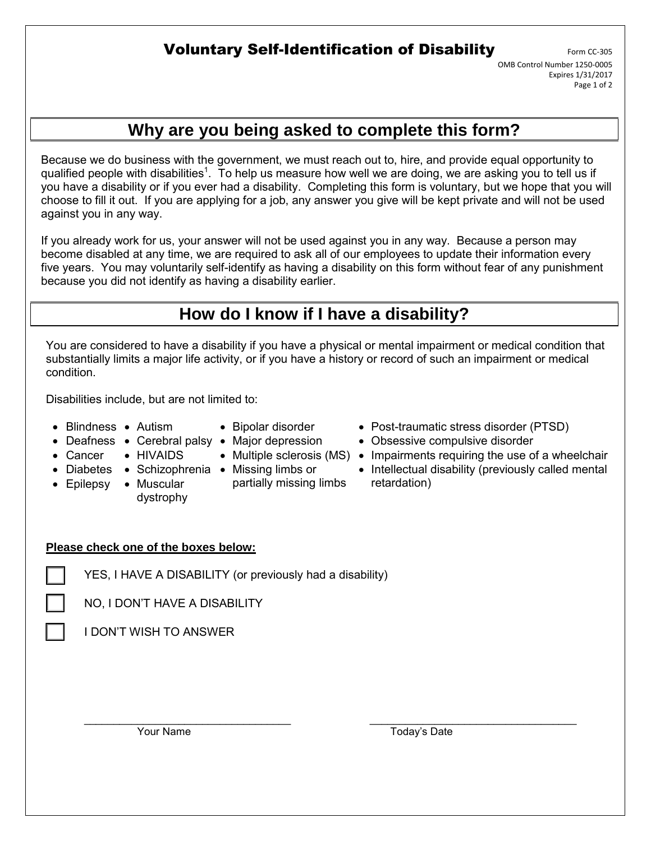## Voluntary Self-Identification of Disability Form CC-305

OMB Control Number 1250-0005 Expires 1/31/2017 Page 1 of 2

# **Why are you being asked to complete this form?**

Because we do business with the government, we must reach out to, hire, and provide equal opportunity to qualified people with disabilities<sup>1</sup>. To help us measure how well we are doing, we are asking you to tell us if you have a disability or if you ever had a disability. Completing this form is voluntary, but we hope that you will choose to fill it out. If you are applying for a job, any answer you give will be kept private and will not be used against you in any way.

If you already work for us, your answer will not be used against you in any way. Because a person may become disabled at any time, we are required to ask all of our employees to update their information every five years. You may voluntarily self-identify as having a disability on this form without fear of any punishment because you did not identify as having a disability earlier.

# **How do I know if I have a disability?**

You are considered to have a disability if you have a physical or mental impairment or medical condition that substantially limits a major life activity, or if you have a history or record of such an impairment or medical condition.

Disabilities include, but are not limited to:

- 
- 
- 
- - -
		-
- Blindness Autism Bipolar disorder Post-traumatic stress disorder (PTSD)
- Deafness Cerebral palsy Major depression Obsessive compulsive disorder
- Cancer HIVAIDS Multiple sclerosis (MS) Impairments requiring the use of a wheelchair
- Diabetes Schizophrenia Missing limbs or Intellectual disability (previously called mental
- Epilepsy Muscular dystrophy
- partially missing limbs retardation)

### **Please check one of the boxes below:**

YES, I HAVE A DISABILITY (or previously had a disability)

☐ NO, I DON'T HAVE A DISABILITY

☐ I DON'T WISH TO ANSWER

 $\_$  , and the state of the state of the state of the state of the state of the state of the state of the state of the state of the state of the state of the state of the state of the state of the state of the state of the Your Name Today's Date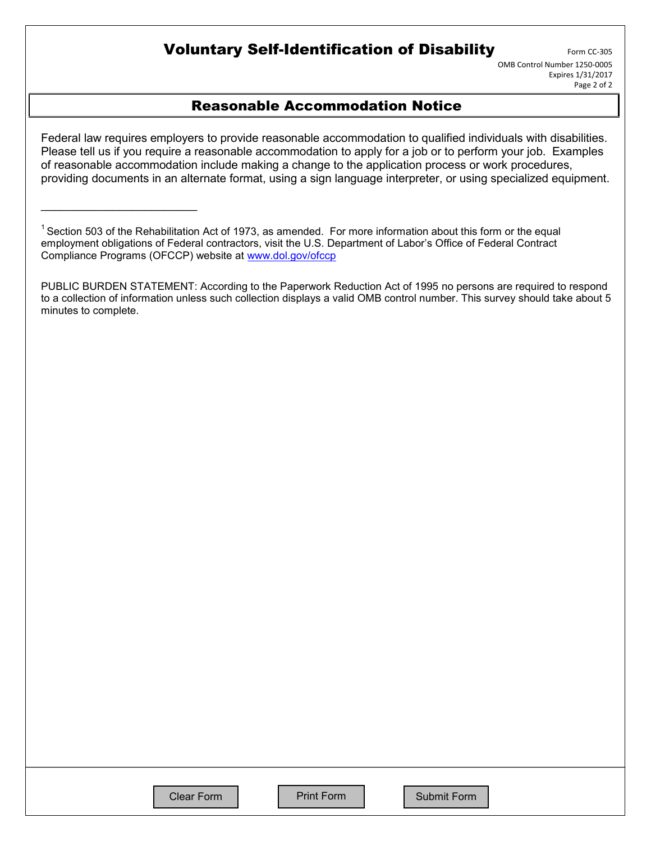## Voluntary Self-Identification of Disability Form CC-305

OMB Control Number 1250-0005 Expires 1/31/2017 Page 2 of 2

### Reasonable Accommodation Notice

Federal law requires employers to provide reasonable accommodation to qualified individuals with disabilities. Please tell us if you require a reasonable accommodation to apply for a job or to perform your job. Examples of reasonable accommodation include making a change to the application process or work procedures, providing documents in an alternate format, using a sign language interpreter, or using specialized equipment.

<sup>1</sup> Section 503 of the Rehabilitation Act of 1973, as amended. For more information about this form or the equal employment obligations of Federal contractors, visit the U.S. Department of Labor's Office of Federal Contract Compliance Programs (OFCCP) website at [www.dol.gov/ofccp](http://www.dol.gov/ofccp)

\_\_\_\_\_\_\_\_\_\_\_\_\_\_\_\_\_\_\_\_\_\_\_\_

PUBLIC BURDEN STATEMENT: According to the Paperwork Reduction Act of 1995 no persons are required to respond to a collection of information unless such collection displays a valid OMB control number. This survey should take about 5 minutes to complete.

Clear Form  $\parallel$  Print Form  $\parallel$  Submit Form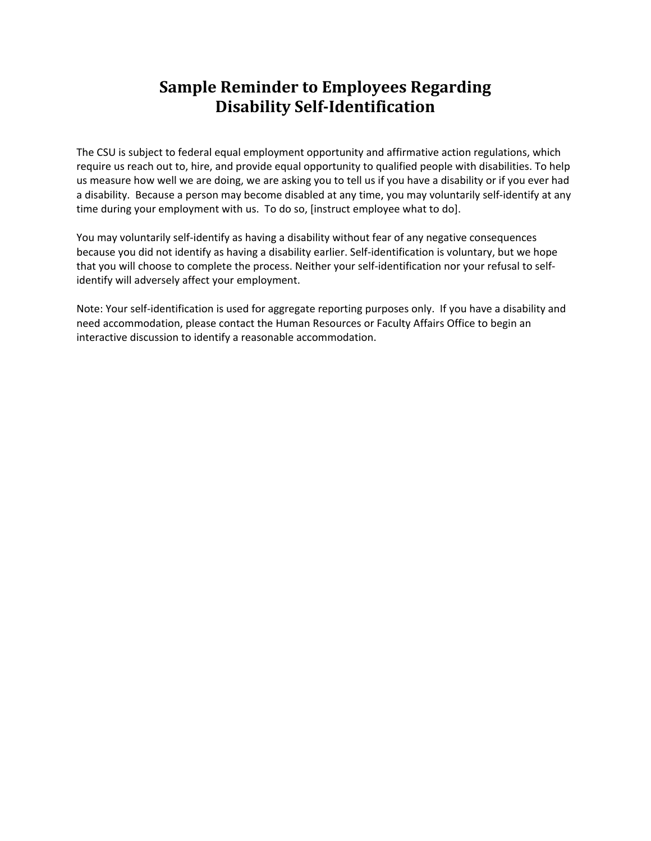# **Sample Reminder to Employees Regarding Disability Self‐Identification**

The CSU is subject to federal equal employment opportunity and affirmative action regulations, which require us reach out to, hire, and provide equal opportunity to qualified people with disabilities. To help us measure how well we are doing, we are asking you to tell us if you have a disability or if you ever had a disability. Because a person may become disabled at any time, you may voluntarily self-identify at any time during your employment with us. To do so, [instruct employee what to do].

You may voluntarily self‐identify as having a disability without fear of any negative consequences because you did not identify as having a disability earlier. Self‐identification is voluntary, but we hope that you will choose to complete the process. Neither your self‐identification nor your refusal to self‐ identify will adversely affect your employment.

Note: Your self‐identification is used for aggregate reporting purposes only. If you have a disability and need accommodation, please contact the Human Resources or Faculty Affairs Office to begin an interactive discussion to identify a reasonable accommodation.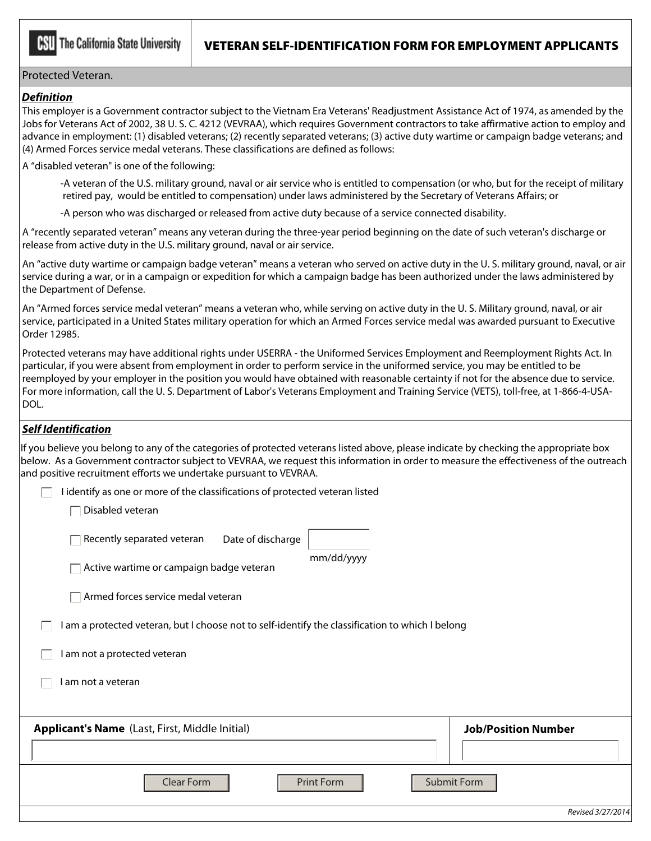#### Protected Veteran.

#### *Definition*

This employer is a Government contractor subject to the Vietnam Era Veterans' Readjustment Assistance Act of 1974, as amended by the Jobs for Veterans Act of 2002, 38 U. S. C. 4212 (VEVRAA), which requires Government contractors to take affirmative action to employ and advance in employment: (1) disabled veterans; (2) recently separated veterans; (3) active duty wartime or campaign badge veterans; and (4) Armed Forces service medal veterans. These classifications are defined as follows:

A "disabled veteran" is one of the following:

 -A veteran of the U.S. military ground, naval or air service who is entitled to compensation (or who, but for the receipt of military retired pay, would be entitled to compensation) under laws administered by the Secretary of Veterans Affairs; or

-A person who was discharged or released from active duty because of a service connected disability.

A "recently separated veteran" means any veteran during the three-year period beginning on the date of such veteran's discharge or release from active duty in the U.S. military ground, naval or air service.

An "active duty wartime or campaign badge veteran" means a veteran who served on active duty in the U. S. military ground, naval, or air service during a war, or in a campaign or expedition for which a campaign badge has been authorized under the laws administered by the Department of Defense.

An "Armed forces service medal veteran" means a veteran who, while serving on active duty in the U. S. Military ground, naval, or air service, participated in a United States military operation for which an Armed Forces service medal was awarded pursuant to Executive Order 12985.

Protected veterans may have additional rights under USERRA - the Uniformed Services Employment and Reemployment Rights Act. In particular, if you were absent from employment in order to perform service in the uniformed service, you may be entitled to be reemployed by your employer in the position you would have obtained with reasonable certainty if not for the absence due to service. For more information, call the U. S. Department of Labor's Veterans Employment and Training Service (VETS), toll-free, at 1-866-4-USA-DOL.

#### *Self Identification*

 If you believe you belong to any of the categories of protected veterans listed above, please indicate by checking the appropriate box below. As a Government contractor subject to VEVRAA, we request this information in order to measure the effectiveness of the outreach and positive recruitment efforts we undertake pursuant to VEVRAA.

 $\Box$  I identify as one or more of the classifications of protected veteran listed

 $\Box$  Disabled veteran

 $\Box$  Recently separated veteran Date of discharge

mm/dd/yyyy

 $\Box$  Active wartime or campaign badge veteran

 $\Box$  Armed forces service medal veteran

I am a protected veteran, but I choose not to self-identify the classification to which I belong

I am not a protected veteran

I am not a veteran

**Applicant's Name** (Last, First, Middle Initial) **Job/Position Number**

Clear Form  $\parallel$  Print Form  $\parallel$  Submit Form

Revised 3/27/2014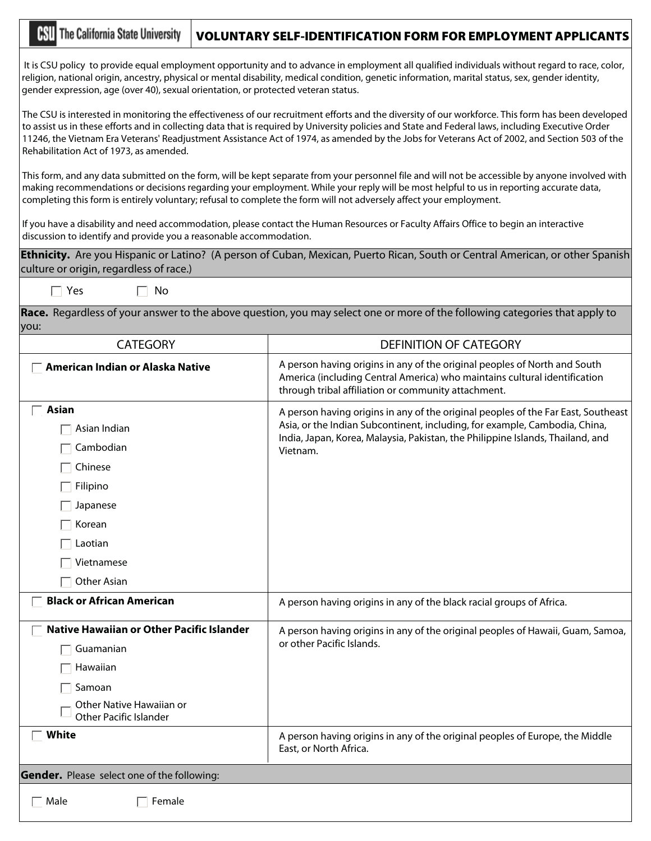| The California State University                                                                                                                                                                                                                                                                                                                                                                                                                                                                     | <b>VOLUNTARY SELF-IDENTIFICATION FORM FOR EMPLOYMENT APPLICANTS</b>                                                                                                                                                                                           |  |
|-----------------------------------------------------------------------------------------------------------------------------------------------------------------------------------------------------------------------------------------------------------------------------------------------------------------------------------------------------------------------------------------------------------------------------------------------------------------------------------------------------|---------------------------------------------------------------------------------------------------------------------------------------------------------------------------------------------------------------------------------------------------------------|--|
| It is CSU policy to provide equal employment opportunity and to advance in employment all qualified individuals without regard to race, color,<br>religion, national origin, ancestry, physical or mental disability, medical condition, genetic information, marital status, sex, gender identity,<br>gender expression, age (over 40), sexual orientation, or protected veteran status.                                                                                                           |                                                                                                                                                                                                                                                               |  |
| The CSU is interested in monitoring the effectiveness of our recruitment efforts and the diversity of our workforce. This form has been developed<br>to assist us in these efforts and in collecting data that is required by University policies and State and Federal laws, including Executive Order<br>11246, the Vietnam Era Veterans' Readjustment Assistance Act of 1974, as amended by the Jobs for Veterans Act of 2002, and Section 503 of the<br>Rehabilitation Act of 1973, as amended. |                                                                                                                                                                                                                                                               |  |
| This form, and any data submitted on the form, will be kept separate from your personnel file and will not be accessible by anyone involved with<br>making recommendations or decisions regarding your employment. While your reply will be most helpful to us in reporting accurate data,<br>completing this form is entirely voluntary; refusal to complete the form will not adversely affect your employment.                                                                                   |                                                                                                                                                                                                                                                               |  |
| If you have a disability and need accommodation, please contact the Human Resources or Faculty Affairs Office to begin an interactive<br>discussion to identify and provide you a reasonable accommodation.                                                                                                                                                                                                                                                                                         |                                                                                                                                                                                                                                                               |  |
| Ethnicity. Are you Hispanic or Latino? (A person of Cuban, Mexican, Puerto Rican, South or Central American, or other Spanish<br>culture or origin, regardless of race.)                                                                                                                                                                                                                                                                                                                            |                                                                                                                                                                                                                                                               |  |
| $\Box$ Yes<br>No                                                                                                                                                                                                                                                                                                                                                                                                                                                                                    |                                                                                                                                                                                                                                                               |  |
| Race. Regardless of your answer to the above question, you may select one or more of the following categories that apply to<br>you:                                                                                                                                                                                                                                                                                                                                                                 |                                                                                                                                                                                                                                                               |  |
| <b>CATEGORY</b>                                                                                                                                                                                                                                                                                                                                                                                                                                                                                     | <b>DEFINITION OF CATEGORY</b>                                                                                                                                                                                                                                 |  |
| American Indian or Alaska Native                                                                                                                                                                                                                                                                                                                                                                                                                                                                    | A person having origins in any of the original peoples of North and South<br>America (including Central America) who maintains cultural identification<br>through tribal affiliation or community attachment.                                                 |  |
| <b>Asian</b><br>Asian Indian<br>Cambodian<br>Chinese<br>Filipino<br>Japanese<br>Korean<br>Laotian<br>Vietnamese<br>Other Asian                                                                                                                                                                                                                                                                                                                                                                      | A person having origins in any of the original peoples of the Far East, Southeast<br>Asia, or the Indian Subcontinent, including, for example, Cambodia, China,<br>India, Japan, Korea, Malaysia, Pakistan, the Philippine Islands, Thailand, and<br>Vietnam. |  |
| <b>Black or African American</b>                                                                                                                                                                                                                                                                                                                                                                                                                                                                    | A person having origins in any of the black racial groups of Africa.                                                                                                                                                                                          |  |
| Native Hawaiian or Other Pacific Islander<br>Guamanian<br>Hawaiian<br>Samoan<br>Other Native Hawaiian or<br><b>Other Pacific Islander</b>                                                                                                                                                                                                                                                                                                                                                           | A person having origins in any of the original peoples of Hawaii, Guam, Samoa,<br>or other Pacific Islands.                                                                                                                                                   |  |
| <b>White</b>                                                                                                                                                                                                                                                                                                                                                                                                                                                                                        | A person having origins in any of the original peoples of Europe, the Middle<br>East, or North Africa.                                                                                                                                                        |  |
| <b>Gender.</b> Please select one of the following:                                                                                                                                                                                                                                                                                                                                                                                                                                                  |                                                                                                                                                                                                                                                               |  |
| Male<br>T Female                                                                                                                                                                                                                                                                                                                                                                                                                                                                                    |                                                                                                                                                                                                                                                               |  |